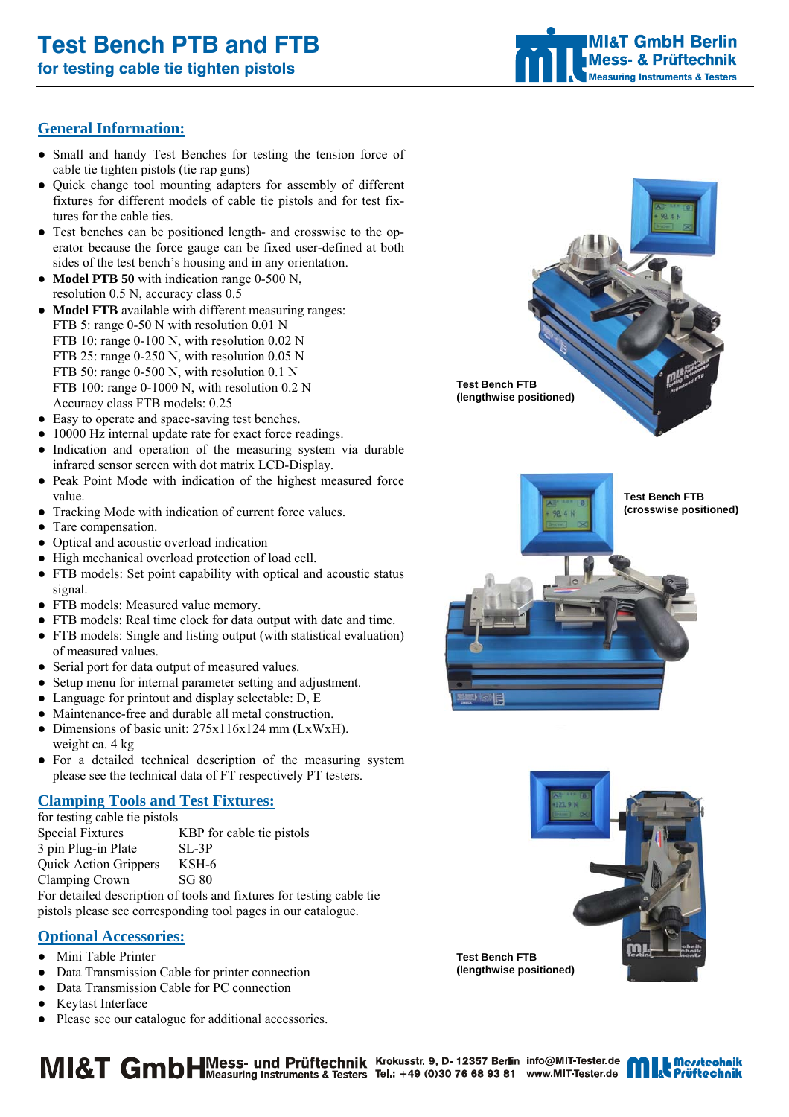# **Test Bench PTB and FTB**

**for testing cable tie tighten pistols** 

# **MI&T GmbH Berlin Mess- & Prüftechnik Measuring Instruments & Testers**

# **General Information:**

- Small and handy Test Benches for testing the tension force of cable tie tighten pistols (tie rap guns)
- Quick change tool mounting adapters for assembly of different fixtures for different models of cable tie pistols and for test fixtures for the cable ties.
- Test benches can be positioned length- and crosswise to the operator because the force gauge can be fixed user-defined at both sides of the test bench's housing and in any orientation.
- **Model PTB 50** with indication range 0-500 N, resolution 0.5 N, accuracy class 0.5
- **Model FTB** available with different measuring ranges: FTB 5: range 0-50 N with resolution 0.01 N FTB 10: range 0-100 N, with resolution 0.02 N FTB 25: range 0-250 N, with resolution 0.05 N FTB 50: range 0-500 N, with resolution 0.1 N FTB 100: range 0-1000 N, with resolution 0.2 N Accuracy class FTB models: 0.25
- Easy to operate and space-saving test benches.
- 10000 Hz internal update rate for exact force readings.
- Indication and operation of the measuring system via durable infrared sensor screen with dot matrix LCD-Display.
- Peak Point Mode with indication of the highest measured force value.
- Tracking Mode with indication of current force values.
- Tare compensation.
- Optical and acoustic overload indication
- High mechanical overload protection of load cell.
- FTB models: Set point capability with optical and acoustic status signal.
- FTB models: Measured value memory.
- FTB models: Real time clock for data output with date and time.
- FTB models: Single and listing output (with statistical evaluation) of measured values.
- Serial port for data output of measured values.
- Setup menu for internal parameter setting and adjustment.
- Language for printout and display selectable: D, E
- Maintenance-free and durable all metal construction.
- Dimensions of basic unit:  $275x116x124$  mm (LxWxH). weight ca. 4 kg
- For a detailed technical description of the measuring system please see the technical data of FT respectively PT testers.

# **Clamping Tools and Test Fixtures:**

| for testing cable tie pistols |                                                            |
|-------------------------------|------------------------------------------------------------|
| <b>Special Fixtures</b>       | KBP for cable tie pistols                                  |
| 3 pin Plug-in Plate           | $SL-3P$                                                    |
| <b>Quick Action Grippers</b>  | KSH-6                                                      |
| Clamping Crown                | SG 80                                                      |
|                               | For detailed description of tools and fixtures for testing |

cable tie pistols please see corresponding tool pages in our catalogue.

# **Optional Accessories:**

- Mini Table Printer
- Data Transmission Cable for printer connection
- Data Transmission Cable for PC connection
- Keytast Interface
- Please see our catalogue for additional accessories.







MI&T GmbHMess- und Prüftechnik Krokusstr. 9, D- 12357 Berlin info@MIT-Tester.de<br>a Testers & Testers Tel.: +49 (0)30 76 68 93 81 www.MIT-Tester.de

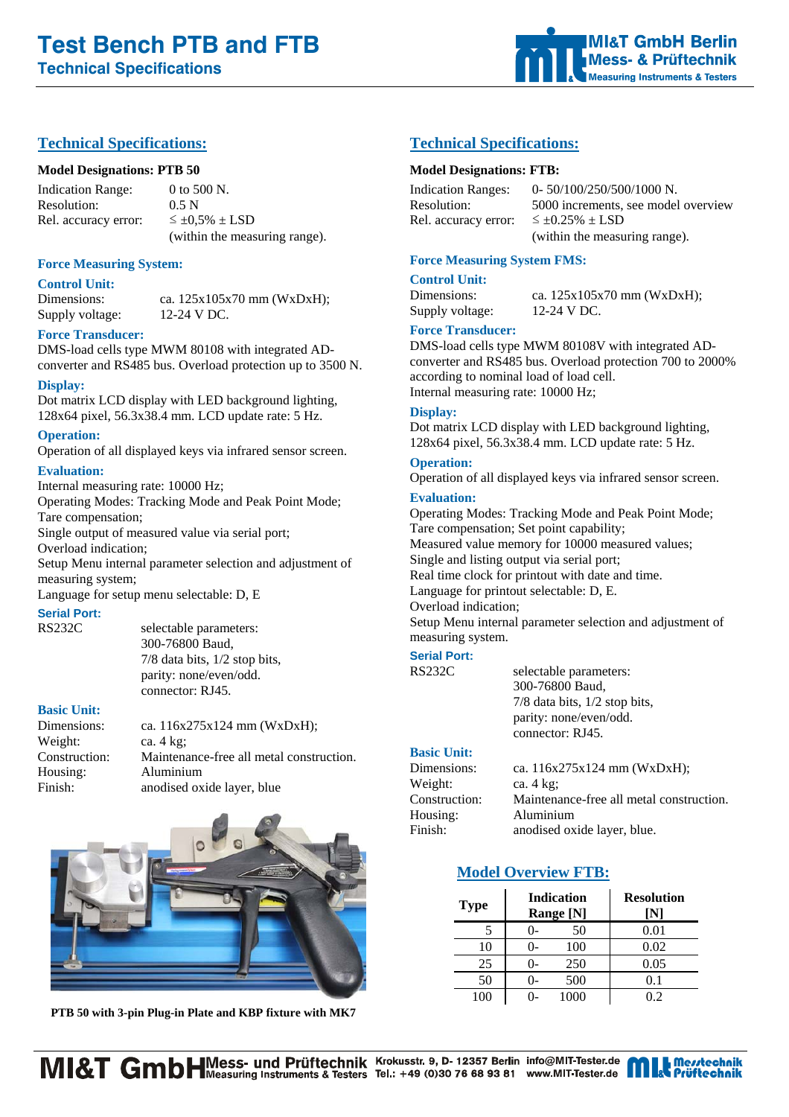# **Technical Specifications:**

### **Model Designations: PTB 50**

Indication Range: 0 to 500 N. Resolution: 0.5 N Rel. accuracy error:  $\leq \pm 0.5\% \pm$  LSD (within the measuring range).

**Force Measuring System:** 

#### **Control Unit:**

Supply voltage: 12-24 V DC.

Dimensions: ca. 125x105x70 mm (WxDxH);

### **Force Transducer:**

DMS-load cells type MWM 80108 with integrated ADconverter and RS485 bus. Overload protection up to 3500 N.

#### **Display:**

Dot matrix LCD display with LED background lighting, 128x64 pixel, 56.3x38.4 mm. LCD update rate: 5 Hz.

#### **Operation:**

Operation of all displayed keys via infrared sensor screen.

#### **Evaluation:**

Internal measuring rate: 10000 Hz;

Operating Modes: Tracking Mode and Peak Point Mode; Tare compensation;

Single output of measured value via serial port;

Overload indication;

Setup Menu internal parameter selection and adjustment of measuring system;

Language for setup menu selectable: D, E

#### **Serial Port:**

RS232C selectable parameters: 300-76800 Baud, 7/8 data bits, 1/2 stop bits, parity: none/even/odd. connector: RJ45.

#### **Basic Unit:**

Dimensions: ca. 116x275x124 mm (WxDxH); Weight: ca. 4 kg; Construction: Maintenance-free all metal construction. Housing: Aluminium Finish: anodised oxide layer, blue



**PTB 50 with 3-pin Plug-in Plate and KBP fixture with MK7**

# **Technical Specifications:**

#### **Model Designations: FTB:**

Rel. accuracy error:  $\leq \pm 0.25\% \pm$  LSD

Indication Ranges: 0- 50/100/250/500/1000 N. Resolution: 5000 increments, see model overview (within the measuring range).

### **Force Measuring System FMS:**

**Control Unit:**

Dimensions: ca.  $125x105x70$  mm (WxDxH);

# Supply voltage: 12-24 V DC. **Force Transducer:**

DMS-load cells type MWM 80108V with integrated ADconverter and RS485 bus. Overload protection 700 to 2000% according to nominal load of load cell. Internal measuring rate: 10000 Hz;

#### **Display:**

Dot matrix LCD display with LED background lighting, 128x64 pixel, 56.3x38.4 mm. LCD update rate: 5 Hz.

**Operation:** Operation of all displayed keys via infrared sensor screen.

# **Evaluation:**

Operating Modes: Tracking Mode and Peak Point Mode; Tare compensation; Set point capability; Measured value memory for 10000 measured values; Single and listing output via serial port; Real time clock for printout with date and time. Language for printout selectable: D, E. Overload indication; Setup Menu internal parameter selection and adjustment of measuring system. **Serial Port:**

RS232C selectable parameters: 300-76800 Baud, 7/8 data bits, 1/2 stop bits, parity: none/even/odd. connector: RJ45.

# **Basic Unit:**

Dimensions: ca. 116x275x124 mm (WxDxH); Weight: ca. 4 kg; Construction: Maintenance-free all metal construction. Housing: Aluminium Finish: anodised oxide layer, blue.

# **Model Overview FTB:**

| <b>Type</b> | <b>Indication</b><br>Range [N] | <b>Resolution</b><br>ſΝl |
|-------------|--------------------------------|--------------------------|
|             | 50<br>$()$ -                   | 0.01                     |
| 10          | 100                            | 0.02                     |
| 25          | 250<br>ი-                      | 0.05                     |
| 50          | 500                            | 0.1                      |
| 100         | 1000                           | 02                       |

MI&T GmbHMess- und Prüftechnik Krokusstr. 9, D- 12357 Berlin info@MIT-Tester.de<br>a Testers & Testers Tel.: +49 (0)30 76 68 93 81 www.MIT-Tester.de